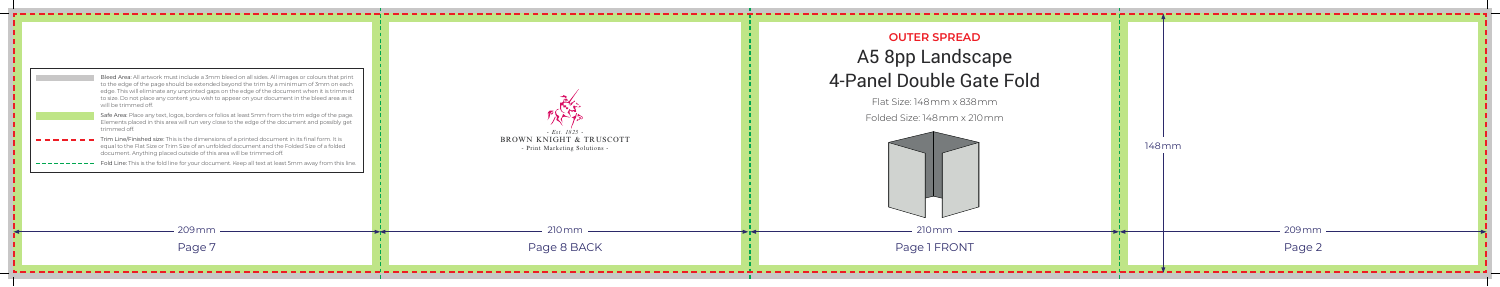